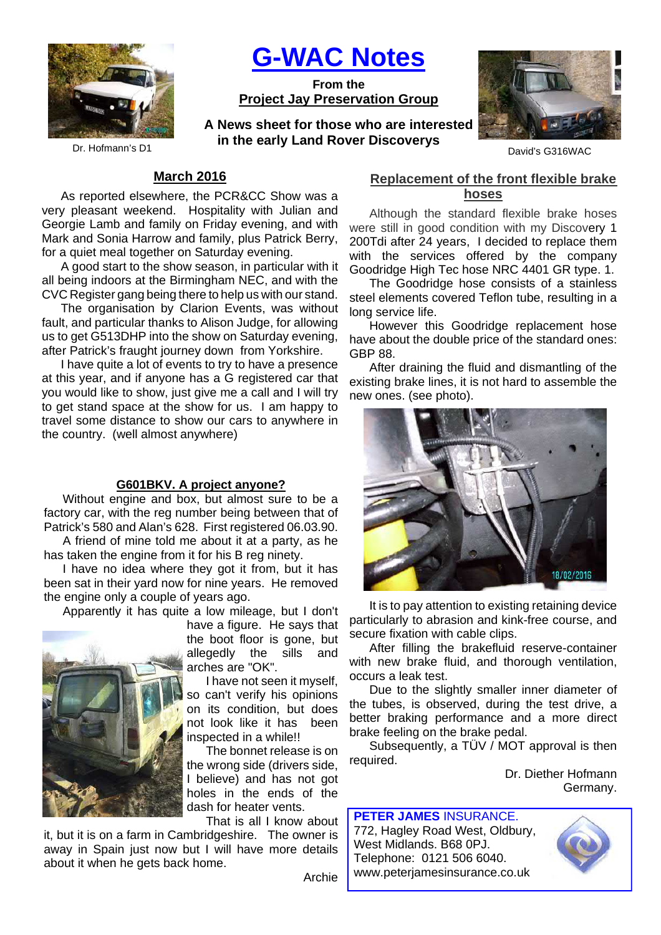

**G-WAC Notes**

**From the Project Jay Preservation Group**

Dr. Hofmann's D1 **Disk of the Cally Latiu Rover Discoverys** David's G316WAC **A News sheet for those who are interested in the early Land Rover Discoverys**



#### **March 2016**

As reported elsewhere, the PCR&CC Show was a very pleasant weekend. Hospitality with Julian and Georgie Lamb and family on Friday evening, and with Mark and Sonia Harrow and family, plus Patrick Berry, for a quiet meal together on Saturday evening.

A good start to the show season, in particular with it all being indoors at the Birmingham NEC, and with the CVC Register gang being there to help us with our stand.

The organisation by Clarion Events, was without fault, and particular thanks to Alison Judge, for allowing us to get G513DHP into the show on Saturday evening, after Patrick's fraught journey down from Yorkshire.

I have quite a lot of events to try to have a presence at this year, and if anyone has a G registered car that you would like to show, just give me a call and I will try to get stand space at the show for us. I am happy to travel some distance to show our cars to anywhere in the country. (well almost anywhere)

#### **G601BKV. A project anyone?**

Without engine and box, but almost sure to be a factory car, with the reg number being between that of Patrick's 580 and Alan's 628. First registered 06.03.90.

A friend of mine told me about it at a party, as he has taken the engine from it for his B reg ninety.

I have no idea where they got it from, but it has been sat in their yard now for nine years. He removed the engine only a couple of years ago.

Apparently it has quite a low mileage, but I don't



have a figure. He says that the boot floor is gone, but allegedly the sills and arches are "OK".

I have not seen it myself, so can't verify his opinions on its condition, but does not look like it has been inspected in a while!!

The bonnet release is on the wrong side (drivers side, I believe) and has not got holes in the ends of the dash for heater vents.

That is all I know about

Archie

it, but it is on a farm in Cambridgeshire. The owner is away in Spain just now but I will have more details about it when he gets back home.

### **Replacement of the front flexible brake hoses**

Although the standard flexible brake hoses were still in good condition with my Discovery 1 200Tdi after 24 years, I decided to replace them with the services offered by the company Goodridge High Tec hose NRC 4401 GR type. 1.

The Goodridge hose consists of a stainless steel elements covered Teflon tube, resulting in a long service life.

However this Goodridge replacement hose have about the double price of the standard ones: GBP 88.

After draining the fluid and dismantling of the existing brake lines, it is not hard to assemble the new ones. (see photo).



It is to pay attention to existing retaining device particularly to abrasion and kink-free course, and secure fixation with cable clips.

After filling the brakefluid reserve-container with new brake fluid, and thorough ventilation, occurs a leak test.

Due to the slightly smaller inner diameter of the tubes, is observed, during the test drive, a better braking performance and a more direct brake feeling on the brake pedal.

Subsequently, a TÜV / MOT approval is then required.

> Dr. Diether Hofmann Germany.

**PETER JAMES** INSURANCE. 772, Hagley Road West, Oldbury, West Midlands. B68 0PJ. Telephone: 0121 506 6040. www.peterjamesinsurance.co.uk

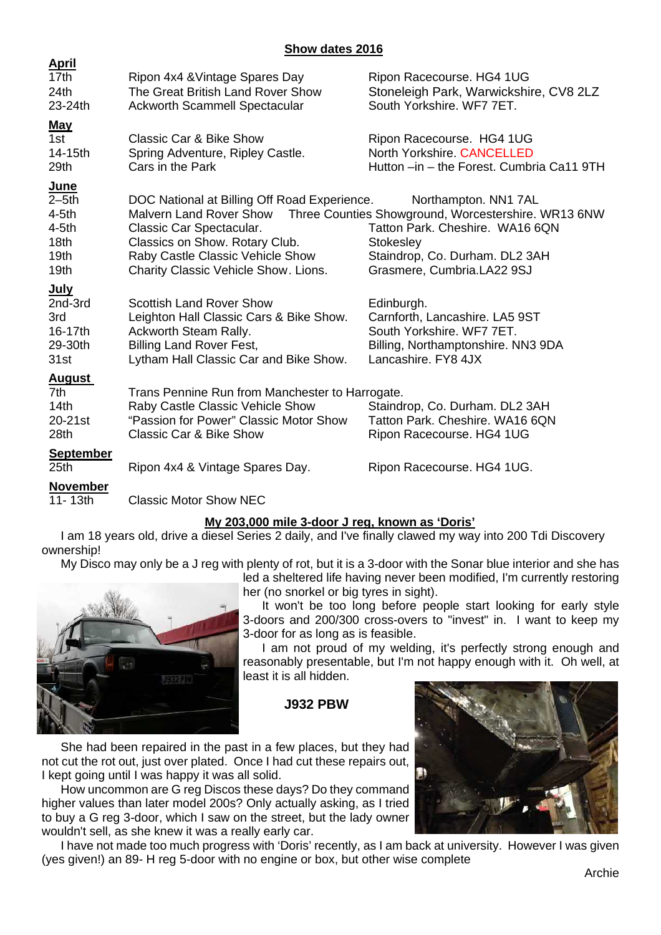#### **Show dates 2016**

| <u>April</u>     |                                                 |                                                     |
|------------------|-------------------------------------------------|-----------------------------------------------------|
| 17th             | Ripon 4x4 & Vintage Spares Day                  | Ripon Racecourse. HG4 1UG                           |
| 24th             | The Great British Land Rover Show               | Stoneleigh Park, Warwickshire, CV8 2LZ              |
| 23-24th          | <b>Ackworth Scammell Spectacular</b>            | South Yorkshire, WF7 7ET.                           |
| <u>May</u>       |                                                 |                                                     |
| 1st              | <b>Classic Car &amp; Bike Show</b>              | Ripon Racecourse. HG4 1UG                           |
| 14-15th          | Spring Adventure, Ripley Castle.                | <b>North Yorkshire, CANCELLED</b>                   |
| 29th             | Cars in the Park                                | Hutton -in - the Forest. Cumbria Ca11 9TH           |
| June             |                                                 |                                                     |
| $2-5th$          | DOC National at Billing Off Road Experience.    | Northampton. NN1 7AL                                |
| $4-5th$          | <b>Malvern Land Rover Show</b>                  | Three Counties Showground, Worcestershire. WR13 6NW |
| $4-5th$          | Classic Car Spectacular.                        | Tatton Park. Cheshire. WA16 6QN                     |
| 18 <sub>th</sub> | Classics on Show. Rotary Club.                  | Stokesley                                           |
| 19 <sub>th</sub> | Raby Castle Classic Vehicle Show                | Staindrop, Co. Durham. DL2 3AH                      |
| 19 <sub>th</sub> | Charity Classic Vehicle Show. Lions.            | Grasmere, Cumbria.LA22 9SJ                          |
| <u>July</u>      |                                                 |                                                     |
| 2nd-3rd          | <b>Scottish Land Rover Show</b>                 | Edinburgh.                                          |
| 3rd              | Leighton Hall Classic Cars & Bike Show.         | Carnforth, Lancashire. LA5 9ST                      |
| 16-17th          | Ackworth Steam Rally.                           | South Yorkshire, WF7 7ET.                           |
| 29-30th          | <b>Billing Land Rover Fest,</b>                 | Billing, Northamptonshire. NN3 9DA                  |
| 31st             | Lytham Hall Classic Car and Bike Show.          | Lancashire. FY8 4JX                                 |
| <b>August</b>    |                                                 |                                                     |
| 7th              | Trans Pennine Run from Manchester to Harrogate. |                                                     |
| 14 <sub>th</sub> | Raby Castle Classic Vehicle Show                | Staindrop, Co. Durham. DL2 3AH                      |
| 20-21st          | "Passion for Power" Classic Motor Show          | Tatton Park. Cheshire. WA16 6QN                     |
| 28 <sub>th</sub> | <b>Classic Car &amp; Bike Show</b>              | Ripon Racecourse. HG4 1UG                           |
| <b>September</b> |                                                 |                                                     |
| 25 <sub>th</sub> | Ripon 4x4 & Vintage Spares Day.                 | Ripon Racecourse. HG4 1UG.                          |
| <b>November</b>  |                                                 |                                                     |
| 11-13th          | <b>Classic Motor Show NEC</b>                   |                                                     |
|                  |                                                 |                                                     |

# **My 203,000 mile 3-door J reg, known as 'Doris'**

I am 18 years old, drive a diesel Series 2 daily, and I've finally clawed my way into 200 Tdi Discovery ownership!

My Disco may only be a J reg with plenty of rot, but it is a 3-door with the Sonar blue interior and she has



**April**

led a sheltered life having never been modified, I'm currently restoring her (no snorkel or big tyres in sight).

It won't be too long before people start looking for early style 3-doors and 200/300 cross-overs to "invest" in. I want to keep my 3-door for as long as is feasible.

I am not proud of my welding, it's perfectly strong enough and reasonably presentable, but I'm not happy enough with it. Oh well, at least it is all hidden.

# **J932 PBW**

She had been repaired in the past in a few places, but they had not cut the rot out, just over plated. Once I had cut these repairs out, I kept going until I was happy it was all solid.

How uncommon are G reg Discos these days? Do they command higher values than later model 200s? Only actually asking, as I tried to buy a G reg 3-door, which I saw on the street, but the lady owner wouldn't sell, as she knew it was a really early car.

I have not made too much progress with 'Doris' recently, as I am back at university. However I was given (yes given!) an 89- H reg 5-door with no engine or box, but other wise complete

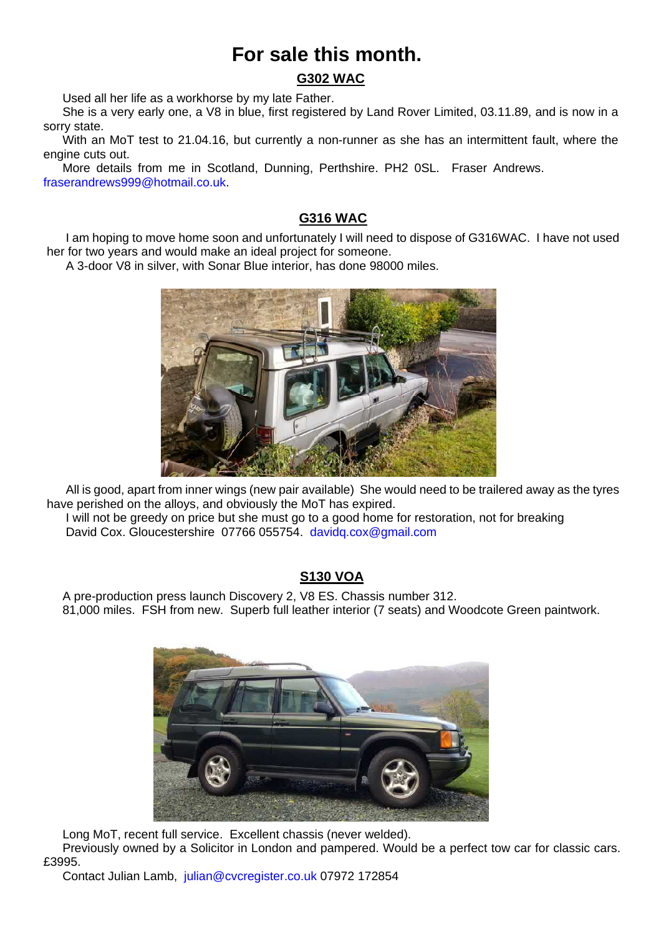# **For sale this month.**

# **G302 WAC**

Used all her life as a workhorse by my late Father.

She is a very early one, a V8 in blue, first registered by Land Rover Limited, 03.11.89, and is now in a sorry state.

With an MoT test to 21.04.16, but currently a non-runner as she has an intermittent fault, where the engine cuts out.

More details from me in Scotland, Dunning, Perthshire. PH2 0SL. Fraser Andrews. fraserandrews999@hotmail.co.uk.

### **G316 WAC**

I am hoping to move home soon and unfortunately I will need to dispose of G316WAC. I have not used her for two years and would make an ideal project for someone.

A 3-door V8 in silver, with Sonar Blue interior, has done 98000 miles.



All is good, apart from inner wings (new pair available) She would need to be trailered away as the tyres have perished on the alloys, and obviously the MoT has expired.

I will not be greedy on price but she must go to a good home for restoration, not for breaking David Cox. Gloucestershire 07766 055754. davidq.cox@gmail.com

# **S130 VOA**

A pre-production press launch Discovery 2, V8 ES. Chassis number 312. 81,000 miles. FSH from new. Superb full leather interior (7 seats) and Woodcote Green paintwork.



Long MoT, recent full service. Excellent chassis (never welded).

Previously owned by a Solicitor in London and pampered. Would be a perfect tow car for classic cars. £3995.

Contact Julian Lamb, julian@cvcregister.co.uk 07972 172854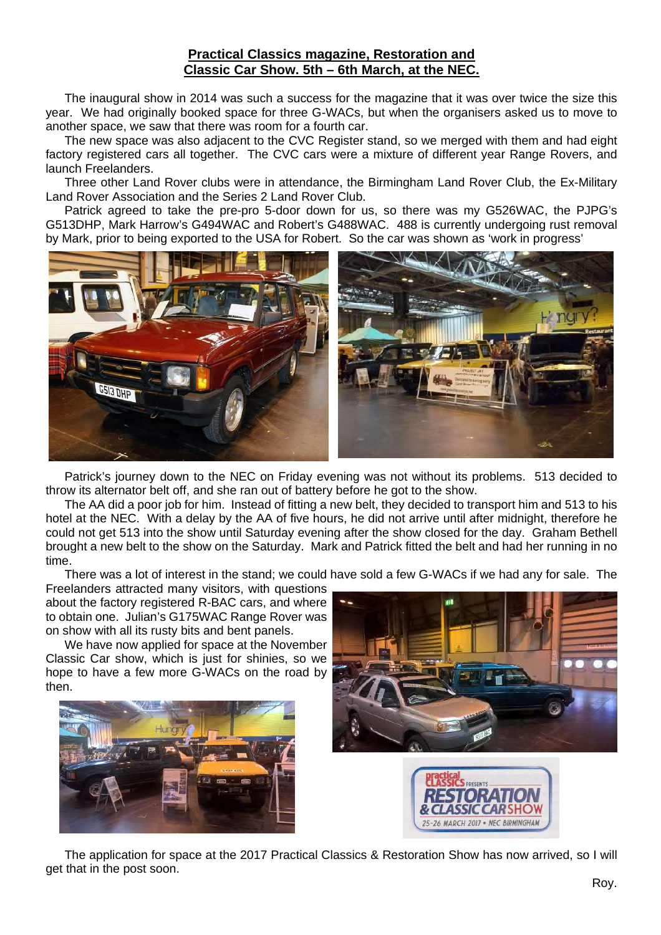#### **Practical Classics magazine, Restoration and Classic Car Show. 5th – 6th March, at the NEC.**

The inaugural show in 2014 was such a success for the magazine that it was over twice the size this year. We had originally booked space for three G-WACs, but when the organisers asked us to move to another space, we saw that there was room for a fourth car.

The new space was also adjacent to the CVC Register stand, so we merged with them and had eight factory registered cars all together. The CVC cars were a mixture of different year Range Rovers, and launch Freelanders.

Three other Land Rover clubs were in attendance, the Birmingham Land Rover Club, the Ex-Military Land Rover Association and the Series 2 Land Rover Club.

Patrick agreed to take the pre-pro 5-door down for us, so there was my G526WAC, the PJPG's G513DHP, Mark Harrow's G494WAC and Robert's G488WAC. 488 is currently undergoing rust removal by Mark, prior to being exported to the USA for Robert. So the car was shown as 'work in progress'



Patrick's journey down to the NEC on Friday evening was not without its problems. 513 decided to throw its alternator belt off, and she ran out of battery before he got to the show.

The AA did a poor job for him. Instead of fitting a new belt, they decided to transport him and 513 to his hotel at the NEC. With a delay by the AA of five hours, he did not arrive until after midnight, therefore he could not get 513 into the show until Saturday evening after the show closed for the day. Graham Bethell brought a new belt to the show on the Saturday. Mark and Patrick fitted the belt and had her running in no time.

There was a lot of interest in the stand; we could have sold a few G-WACs if we had any for sale. The

Freelanders attracted many visitors, with questions about the factory registered R-BAC cars, and where to obtain one. Julian's G175WAC Range Rover was on show with all its rusty bits and bent panels.

We have now applied for space at the November Classic Car show, which is just for shinies, so we hope to have a few more G-WACs on the road by then.







The application for space at the 2017 Practical Classics & Restoration Show has now arrived, so I will get that in the post soon.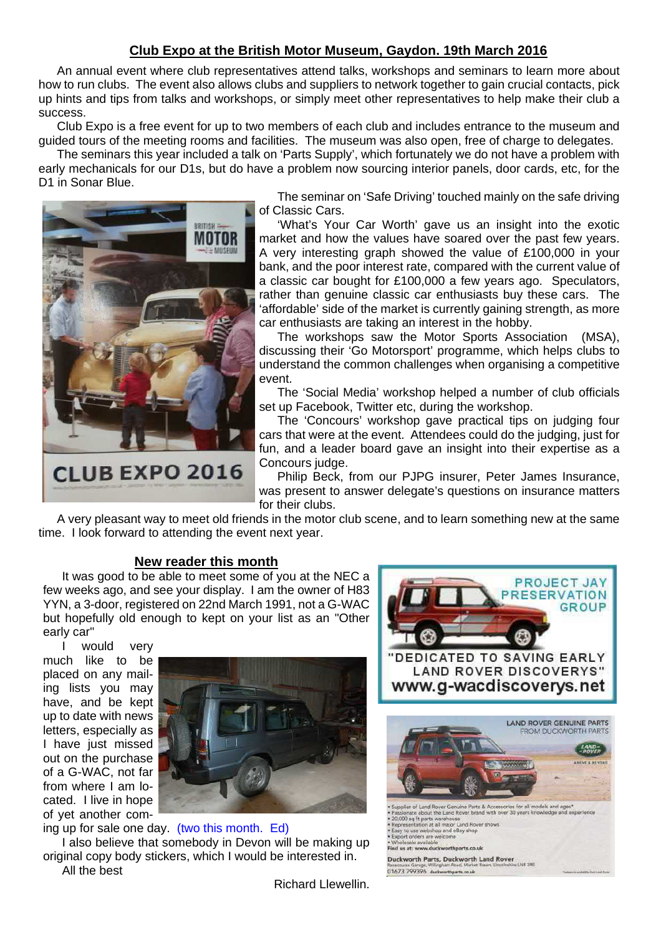# **Club Expo at the British Motor Museum, Gaydon. 19th March 2016**

An annual event where club representatives attend talks, workshops and seminars to learn more about how to run clubs. The event also allows clubs and suppliers to network together to gain crucial contacts, pick up hints and tips from talks and workshops, or simply meet other representatives to help make their club a success.

Club Expo is a free event for up to two members of each club and includes entrance to the museum and guided tours of the meeting rooms and facilities. The museum was also open, free of charge to delegates.

The seminars this year included a talk on 'Parts Supply', which fortunately we do not have a problem with early mechanicals for our D1s, but do have a problem now sourcing interior panels, door cards, etc, for the D1 in Sonar Blue.



The seminar on 'Safe Driving' touched mainly on the safe driving of Classic Cars.

'What's Your Car Worth' gave us an insight into the exotic market and how the values have soared over the past few years. A very interesting graph showed the value of £100,000 in your bank, and the poor interest rate, compared with the current value of a classic car bought for £100,000 a few years ago. Speculators, rather than genuine classic car enthusiasts buy these cars. The 'affordable' side of the market is currently gaining strength, as more car enthusiasts are taking an interest in the hobby.

The workshops saw the Motor Sports Association (MSA), discussing their 'Go Motorsport' programme, which helps clubs to understand the common challenges when organising a competitive event.

The 'Social Media' workshop helped a number of club officials set up Facebook, Twitter etc, during the workshop.

The 'Concours' workshop gave practical tips on judging four cars that were at the event. Attendees could do the judging, just for fun, and a leader board gave an insight into their expertise as a Concours judge.

Philip Beck, from our PJPG insurer, Peter James Insurance, was present to answer delegate's questions on insurance matters for their clubs.

A very pleasant way to meet old friends in the motor club scene, and to learn something new at the same time. I look forward to attending the event next year.

#### **New reader this month**

It was good to be able to meet some of you at the NEC a few weeks ago, and see your display. I am the owner of H83 YYN, a 3-door, registered on 22nd March 1991, not a G-WAC but hopefully old enough to kept on your list as an "Other early car"

I would very much like to be placed on any mailing lists you may have, and be kept up to date with news letters, especially as I have just missed out on the purchase of a G-WAC, not far from where I am located. I live in hope of yet another com-



ing up for sale one day. (two this month. Ed)

I also believe that somebody in Devon will be making up original copy body stickers, which I would be interested in. All the best



Richard Llewellin.